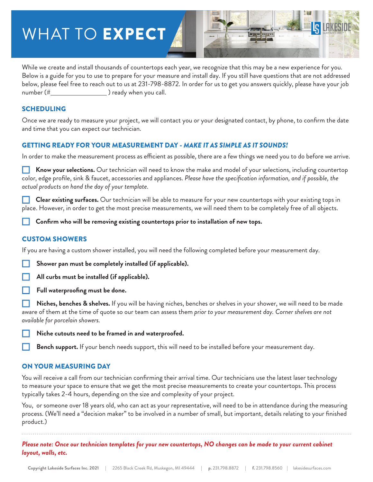# WHAT TO **EXPECT**



While we create and install thousands of countertops each year, we recognize that this may be a new experience for you. Below is a guide for you to use to prepare for your measure and install day. If you still have questions that are not addressed below, please feel free to reach out to us at 231-798-8872. In order for us to get you answers quickly, please have your job number (# ) ready when you call.

### SCHEDULING

Once we are ready to measure your project, we will contact you or your designated contact, by phone, to confirm the date and time that you can expect our technician.

### GETTING READY FOR YOUR MEASUREMENT DAY - *MAKE IT AS SIMPLE AS IT SOUNDS!*

In order to make the measurement process as efficient as possible, there are a few things we need you to do before we arrive.

Know your selections. Our technician will need to know the make and model of your selections, including countertop color, edge profile, sink & faucet, accessories and appliances. *Please have the specification information, and if possible, the actual products on hand the day of your template.*

□ **Clear existing surfaces.** Our technician will be able to measure for your new countertops with your existing tops in place. However, in order to get the most precise measurements, we will need them to be completely free of all objects.

□ **Confirm who will be removing existing countertops prior to installation of new tops.**

### CUSTOM SHOWERS

If you are having a custom shower installed, you will need the following completed before your measurement day.

Shower pan must be completely installed (if applicable).

All curbs must be installed (if applicable).

□ **Full waterproofing must be done.**

□ **Niches, benches & shelves.** If you will be having niches, benches or shelves in your shower, we will need to be made aware of them at the time of quote so our team can assess them *prior to your measurement day. Corner shelves are not available for porcelain showers.*

□ **Niche cutouts need to be framed in and waterproofed.**

□ **Bench support.** If your bench needs support, this will need to be installed before your measurement day.

#### ON YOUR MEASURING DAY

You will receive a call from our technician confirming their arrival time. Our technicians use the latest laser technology to measure your space to ensure that we get the most precise measurements to create your countertops. This process typically takes 2-4 hours, depending on the size and complexity of your project.

You, or someone over 18 years old, who can act as your representative, will need to be in attendance during the measuring process. (We'll need a "decision maker" to be involved in a number of small, but important, details relating to your finished product.)

*Please note: Once our technician templates for your new countertops, NO changes can be made to your current cabinet layout, walls, etc.*